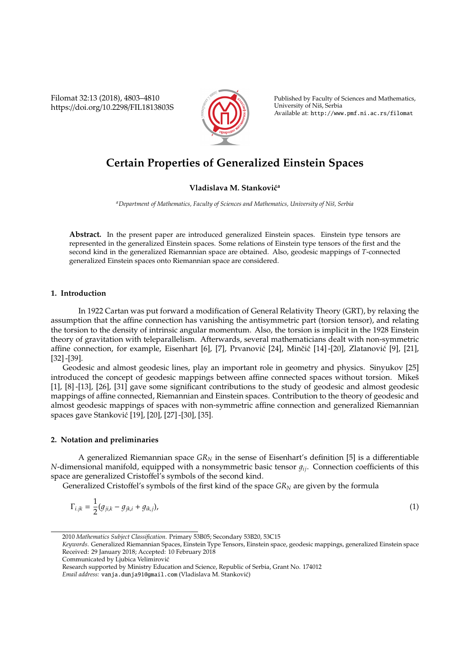Filomat 32:13 (2018), 4803–4810 https://doi.org/10.2298/FIL1813803S



Published by Faculty of Sciences and Mathematics, University of Nis, Serbia ˇ Available at: http://www.pmf.ni.ac.rs/filomat

# **Certain Properties of Generalized Einstein Spaces**

### **Vladislava M. Stanković<sup>a</sup>**

<sup>a</sup> Department of Mathematics, Faculty of Sciences and Mathematics, University of Niš, Serbia

**Abstract.** In the present paper are introduced generalized Einstein spaces. Einstein type tensors are represented in the generalized Einstein spaces. Some relations of Einstein type tensors of the first and the second kind in the generalized Riemannian space are obtained. Also, geodesic mappings of *T*-connected generalized Einstein spaces onto Riemannian space are considered.

#### **1. Introduction**

In 1922 Cartan was put forward a modification of General Relativity Theory (GRT), by relaxing the assumption that the affine connection has vanishing the antisymmetric part (torsion tensor), and relating the torsion to the density of intrinsic angular momentum. Also, the torsion is implicit in the 1928 Einstein theory of gravitation with teleparallelism. Afterwards, several mathematicians dealt with non-symmetric affine connection, for example, Eisenhart [6], [7], Prvanović [24], Minčić [14] -[20], Zlatanović [9], [21], [32] -[39].

Geodesic and almost geodesic lines, play an important role in geometry and physics. Sinyukov [25] introduced the concept of geodesic mappings between affine connected spaces without torsion. Mikes [1], [8] -[13], [26], [31] gave some significant contributions to the study of geodesic and almost geodesic mappings of affine connected, Riemannian and Einstein spaces. Contribution to the theory of geodesic and almost geodesic mappings of spaces with non-symmetric affine connection and generalized Riemannian spaces gave Stankovic [19], [20], [27] -[30], [35]. ´

#### **2. Notation and preliminaries**

A generalized Riemannian space *GR<sup>N</sup>* in the sense of Eisenhart's definition [5] is a differentiable *N*-dimensional manifold, equipped with a nonsymmetric basic tensor  $g_{ij}$ . Connection coefficients of this space are generalized Cristoffel's symbols of the second kind.

Generalized Cristoffel's symbols of the first kind of the space *GR<sup>N</sup>* are given by the formula

$$
\Gamma_{i,jk} = \frac{1}{2}(g_{ji,k} - g_{jk,i} + g_{ik,j}),
$$
\n(1)

<sup>2010</sup> *Mathematics Subject Classification*. Primary 53B05; Secondary 53B20, 53C15

*Keywords*. Generalized Riemannian Spaces, Einstein Type Tensors, Einstein space, geodesic mappings, generalized Einstein space Received: 29 January 2018; Accepted: 10 February 2018

Communicated by Ljubica Velimirovic´

Research supported by Ministry Education and Science, Republic of Serbia, Grant No. 174012

*Email address:* vanja.dunja91@gmail.com (Vladislava M. Stankovic)´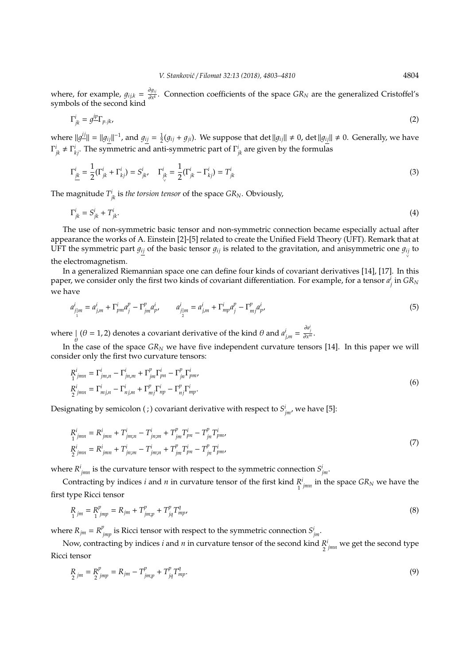where, for example,  $g_{ijk} = \frac{\partial g_{ij}}{\partial x^k}$ ∂*x k* . Connection coefficients of the space *GR<sup>N</sup>* are the generalized Cristoffel's symbols of the second kind

$$
\Gamma^i_{jk} = g^{\underline{i}p} \Gamma_{p,jk},\tag{2}
$$

where  $||g^{ij}|| = ||g_{ij}||^{-1}$ , and  $g_{ij} = \frac{1}{2}(g_{ij} + g_{ji})$ . We suppose that det  $||g_{ij}|| ≠ 0$ , det  $||g_{ij}|| ≠ 0$ . Generally, we have  $\Gamma^i_{jk} \neq \Gamma^i_{kj}$ . The symmetric and anti-symmetric part of  $\Gamma^i_{jk}$  are given by the formulas

$$
\Gamma_{\underline{j}\underline{k}}^i = \frac{1}{2} (\Gamma_{jk}^i + \Gamma_{kj}^i) = S_{jk}^i, \quad \Gamma_{\underline{j}\underline{k}}^i = \frac{1}{2} (\Gamma_{jk}^i - \Gamma_{kj}^i) = T_{jk}^i
$$
\n(3)

The magnitude  $T^i_{\phantom{i}jk}$  is *the torsion tensor* of the space  $G R_N$ . Obviously,

$$
\Gamma^i_{jk} = S^i_{jk} + T^i_{jk}.\tag{4}
$$

The use of non-symmetric basic tensor and non-symmetric connection became especially actual after appearance the works of A. Einstein [2]-[5] related to create the Unified Field Theory (UFT). Remark that at UFT the symmetric part  $g_{ij}$  of the basic tensor  $g_{ij}$  is related to the gravitation, and anisymmetric one  $g_{ij}$  to the electromagnetism.

In a generalized Riemannian space one can define four kinds of covariant derivatives [14], [17]. In this paper, we consider only the first two kinds of covariant differentiation. For example, for a tensor  $a_j^i$  in  $GR_N$ we have

$$
a_{j|m}^i = a_{j,m}^i + \Gamma_{pm}^i a_j^p - \Gamma_{jm}^p a_p^i, \qquad a_{j|m}^i = a_{j,m}^i + \Gamma_{mp}^i a_j^p - \Gamma_{mj}^p a_p^i,
$$
\n(5)

where  $\int_{\theta} (\theta = 1, 2)$  denotes a covariant derivative of the kind  $\theta$  and  $a^i_{j,m} = \frac{\partial a^i_j}{\partial x^m}$ .

In the case of the space *GR<sup>N</sup>* we have five independent curvature tensors [14]. In this paper we will consider only the first two curvature tensors:

$$
R_{1 \text{ jmn}}^i = \Gamma_{jm,n}^i - \Gamma_{jn,m}^i + \Gamma_{jm}^p \Gamma_{pn}^i - \Gamma_{jn}^p \Gamma_{pm}^i,
$$
  
\n
$$
R_{2 \text{ jmn}}^i = \Gamma_{m,j,n}^i - \Gamma_{nj,m}^i + \Gamma_{mj}^p \Gamma_{np}^i - \Gamma_{nj}^p \Gamma_{mp}^i.
$$
\n(6)

Designating by semicolon ( ; ) covariant derivative with respect to  $S^i_{jm'}$  we have [5]:

$$
R_{1\;jmn}^{i} = R_{jmn}^{i} + T_{jm;n}^{i} - T_{jn;m}^{i} + T_{jm}^{p} T_{pn}^{i} - T_{jn}^{p} T_{pm}^{i},
$$
  
\n
$$
R_{2\;jmn}^{i} = R_{jmn}^{i} + T_{jn;m}^{i} - T_{jm;n}^{i} + T_{jm}^{p} T_{pn}^{i} - T_{jn}^{p} T_{pm}^{i},
$$
\n(7)

where  $R^i_{jmn}$  is the curvature tensor with respect to the symmetric connection  $S^i_{jm}$ .

Contracting by indices *i* and *n* in curvature tensor of the first kind *R* 1  $\int_{jmn}^{i}$  in the space  $GR_N$  we have the first type Ricci tensor

$$
\underset{1}{R}_{jm} = \underset{1}{R}_{jmp}^{p} = R_{jm} + T_{jmp}^{p} + T_{jq}^{p} T_{mp}^{q},\tag{8}
$$

where  $R_{jm} = R_{jmp}^p$  is Ricci tensor with respect to the symmetric connection  $S_{jm}^i$ .

Now, contracting by indices *i* and *n* in curvature tensor of the second kind *R* 2 *i jmn* we get the second type Ricci tensor

$$
\underset{2}{R}_{jm} = \underset{2}{R}_{jmp}^{p} = R_{jm} - T_{jmp}^{p} + T_{jq}^{p} T_{mp}^{q}.
$$
\n(9)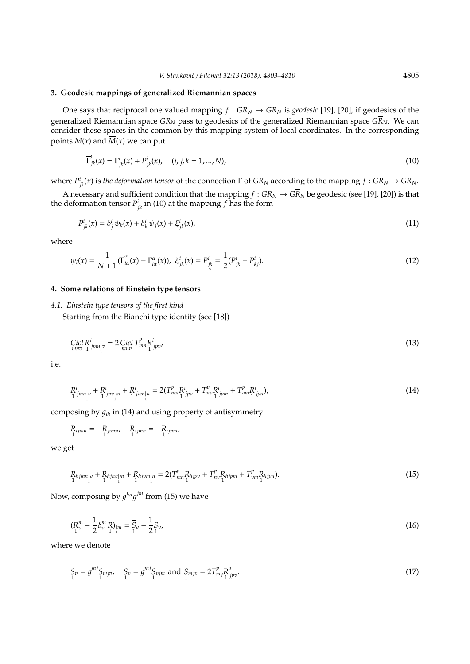## **3. Geodesic mappings of generalized Riemannian spaces**

One says that reciprocal one valued mapping  $f : G R_N \to G \overline{R}_N$  is *geodesic* [19], [20], if geodesics of the generalized Riemannian space *GR<sup>N</sup>* pass to geodesics of the generalized Riemannian space *GRN*. We can consider these spaces in the common by this mapping system of local coordinates. In the corresponding points  $M(x)$  and  $\overline{M}(x)$  we can put

$$
\overline{\Gamma}^i_{jk}(x) = \Gamma^i_{jk}(x) + P^i_{jk}(x), \quad (i, j, k = 1, ..., N),
$$
\n(10)

 $\chi$ <sup>*K*</sup> $\chi$ <sup>*jk*</sup> $\chi$ *k*) is *the deformation tensor* of the connection Γ of *GR<sub>N</sub>* according to the mapping *f* : *GR<sub>N</sub>*  $\to$  *GR<sub>N</sub>*.

A necessary and sufficient condition that the mapping  $f:GR_N\to G\overline{R}_N$  be geodesic (see [19], [20]) is that the deformation tensor  $P^i_{\phantom{i}jk}$  in (10) at the mapping  $f$  has the form

$$
P^i_{jk}(x) = \delta^i_j \psi_k(x) + \delta^i_k \psi_j(x) + \xi^i_{jk}(x), \qquad (11)
$$

where

$$
\psi_i(x) = \frac{1}{N+1}(\overline{\Gamma}_{i\alpha}^{\alpha}(x) - \Gamma_{i\alpha}^{\alpha}(x)), \ \xi_{jk}^i(x) = P_{jk}^i = \frac{1}{2}(P_{jk}^i - P_{kj}^i). \tag{12}
$$

#### **4. Some relations of Einstein type tensors**

#### *4.1. Einstein type tensors of the first kind*

Starting from the Bianchi type identity (see [18])

$$
\underset{mno}{Cicl} \underset{1}{R}^{i}{}_{jmn}{}_{v} = 2 \underset{mno}{Cicl} \underset{1}{T}^{p}{}_{mn} \underset{1}{R}^{i}{}_{jpo},\tag{13}
$$

i.e.

$$
R_{1\;jmn_1v}^i + R_{1\;jnm_1m}^i + R_{1\;jvm_1n}^i = 2(T_{mn_1}^p R_{jpv}^i + T_{nv_1}^p R_{jpm}^i + T_{vm_1}^p R_{jpn}^i),\tag{14}
$$

composing by  $g_{ih}$  in (14) and using property of antisymmetry

$$
R_{ijmn} = -R_{jimn}, \quad R_{ijmn} = -R_{ijnm},
$$

we get

$$
R_{hjmn}|v + R_{hjnv|m} + R_{hjvm|n} = 2(T_{mn}^p R_{hjpv} + T_{nv}^p R_{hjpm} + T_{vm}^p R_{hjpn}).
$$
\n(15)

Now, composing by  $g^{\underline{lm}}g^{\underline{jm}}$  from (15) we have

$$
(\mathbf{R}_{v}^{m} - \frac{1}{2} \delta_{v}^{m} \mathbf{R})_{|m} = \overline{\mathbf{S}}_{v} - \frac{1}{2} \mathbf{S}_{v},
$$
\n(16)

where we denote

$$
S_v = g^{\frac{m}{2}} S_{mjv}, \quad \overline{S}_v = g^{\frac{m}{2}} S_{vjm} \text{ and } S_{mjv} = 2T_{mq}^p R_{1\,jpv}^q. \tag{17}
$$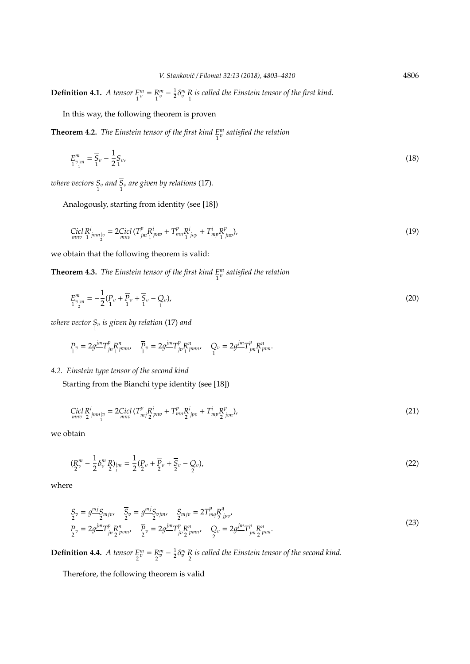**Definition 4.1.** *A tensor E* 1  $\binom{m}{v} = \binom{R}{1}$  $v^m_v - \frac{1}{2} \delta^m_v R$  is called the Einstein tensor of the first kind.

In this way, the following theorem is proven

**Theorem 4.2.** *The Einstein tensor of the first kind E* 1 *m v satisfied the relation*

$$
E_{1}^{m} = \overline{S}_{v} - \frac{1}{2}S_{v}, \tag{18}
$$

where vectors  $S_v$  and  $S_v$  are given by relations (17).

Analogously, starting from identity (see [18])

$$
\text{Cicl } R^i_{mno} = 2 \text{Cicl } (T^p_{jm} R^i_{prno} + T^p_{mn} R^i_{1jop} + T^i_{mp} R^p_{jno}), \tag{19}
$$

we obtain that the following theorem is valid:

**Theorem 4.3.** *The Einstein tensor of the first kind E* 1 *m v satisfied the relation*

$$
E_{1}^{m} = -\frac{1}{2} (P_{1}^{m} + \overline{P}_{1}^{m} + \overline{S}_{1}^{m} - Q_{0}),
$$
\n(20)

*where vector S* 1 *<sup>v</sup> is given by relation* (17) *and*

$$
P_v = 2g^{\underline{j}m}T_{jn}^p R_{pvm}^n, \quad \overline{P}_v = 2g^{\underline{j}m}T_{jp}^p R_{pmn}^n, \quad Q_v = 2g^{\underline{j}m}T_{jm}^p R_{pvn}^n.
$$

## *4.2. Einstein type tensor of the second kind*

Starting from the Bianchi type identity (see [18])

$$
\underset{mno}{Cicl} \underset{2}{R}^{i}{}_{jmn|v} = 2 \underset{1}{Cicl} \left( T^{p}_{mj} \underset{2}{R}^{i}{}_{pno} + T^{p}_{mn} \underset{2}{R}^{i}{}_{jpo} + T^{i}_{mp} \underset{2}{R}^{p}_{jon} \right), \tag{21}
$$

we obtain

$$
\left(\mathbf{R}_{2}^{m}-\frac{1}{2}\delta_{v}^{m}\mathbf{R}\right)_{\mid m}=\frac{1}{2}\left(\mathbf{P}_{v}+\overline{\mathbf{P}}_{v}+\overline{\mathbf{S}}_{v}-\mathbf{Q}_{v}\right),\tag{22}
$$

where

$$
S_v = g^{\frac{m}{2}} S_{mjv}, \quad \overline{S}_v = g^{\frac{m}{2}} S_{vjm}, \quad S_{mjv} = 2T^p_{mq} R^q_{\frac{1}{2}jpv},
$$
  
\n
$$
P_v = 2g^{\frac{m}{2}} T^p_{jn} R^n_{\frac{1}{2}vmv}, \quad \overline{P}_v = 2g^{\frac{m}{2}} T^p_{jv} R^n_{\frac{1}{2}vmv}, \quad Q_v = 2g^{\frac{m}{2}} T^p_{jm} R^n_{\frac{1}{2}vmv}.
$$
\n(23)

**Definition 4.4.** *A tensor E* 2  $\binom{m}{v} = \frac{R}{2}$ *m* −  $\frac{1}{2}$ *δ*<sup>m</sup>  $\frac{1}{2}$  *is called the Einstein tensor of the second kind.* 

Therefore, the following theorem is valid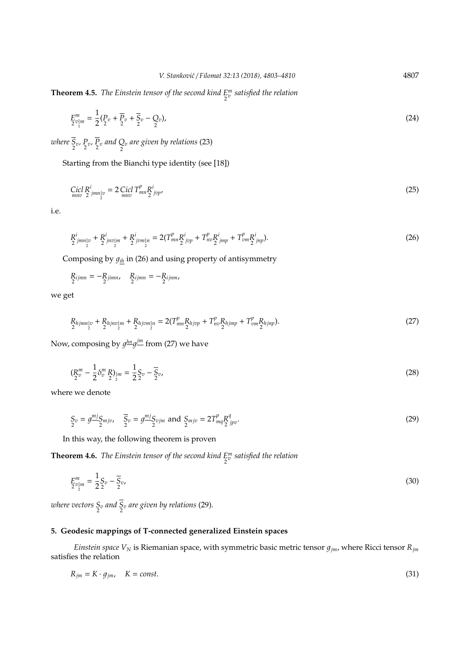**Theorem 4.5.** *The Einstein tensor of the second kind E* 2 *m v satisfied the relation*

$$
E_{2}^{m} = \frac{1}{2} (P_{2}^{v} + \overline{P}_{2}^{v} + \overline{S}_{2}^{v} - Q_{2}^{v}),
$$
\n(24)

where  $S_v$ ,  $P_v$ ,  $P_v$  and  $Q_v$  are given by relations (23)

Starting from the Bianchi type identity (see [18])

$$
\underset{mno}{Cicl} \underset{2}{R}^{i}{}_{jmn}{}_{v} = 2 \underset{mno}{Cicl} \underset{T}{}^{m}{}_{m}{}^{R}{}_{jvp}{}^{i},\tag{25}
$$

i.e.

$$
R_{2\ jmn}^{i}_{\substack{m\\2}} + R_{2\ jmn}^{i}_{\substack{m\\2}} + R_{2\ j\nm}^{i}_{\substack{m\\2}} = 2(T_{mn}^{p}R_{j\nu}^{i}_{\substack{m\\2}} + T_{n\nu}^{p}R_{j\,mp}^{i} + T_{\nu m}^{p}R_{j\,mp}^{i}). \tag{26}
$$

Composing by  $g_{i h}$  in (26) and using property of antisymmetry

$$
R_{ijmn} = -R_{jimn}, \quad R_{ijmn} = -R_{ijnm},
$$

we get

$$
R_{hjmn}v + R_{hjnc} + R_{hjrc}v_{2} + 2V_{2}v_{2} = 2(T_{mn}^{p}R_{hjcp} + T_{nc}^{p}R_{hjmp} + T_{vm}^{p}R_{hjnp}).
$$
\n(27)

Now, composing by  $g^{\underline{hn}}g^{\underline{jm}}$  from (27) we have

$$
\left(\underline{R}_v^m - \frac{1}{2}\delta_v^m \underline{R}\right)_{|m} = \frac{1}{2}\underline{S}_v - \overline{S}_v,\tag{28}
$$

where we denote

$$
S_v = g^{\frac{mj}{2}} S_{mjv}, \quad \overline{S}_v = g^{\frac{mj}{2}} S_{vjm} \text{ and } S_{mjv} = 2T_{mq}^p \frac{R^q}{2} j_{pv}.
$$
 (29)

In this way, the following theorem is proven

**Theorem 4.6.** *The Einstein tensor of the second kind E* 2 *m v satisfied the relation*

$$
E_{2}^{m} = \frac{1}{2} S_{2} - \overline{S}_{2}, \tag{30}
$$

where vectors  $S_v$  and  $S_v$  are given by relations (29).

### **5. Geodesic mappings of T-connected generalized Einstein spaces**

*Einstein space*  $V_N$  is Riemanian space, with symmetric basic metric tensor  $g_{jm}$ , where Ricci tensor  $R_{jm}$ satisfies the relation

$$
R_{jm} = K \cdot g_{jm}, \quad K = const.
$$
\n(31)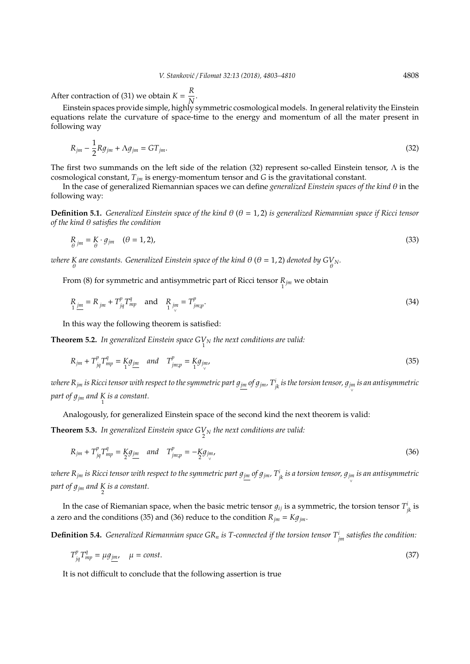After contraction of (31) we obtain  $K = \frac{R}{\Delta k}$  $\frac{N}{N}$ .

Einstein spaces provide simple, highly symmetric cosmological models. In general relativity the Einstein equations relate the curvature of space-time to the energy and momentum of all the mater present in following way

$$
R_{jm} - \frac{1}{2} Rg_{jm} + \Lambda g_{jm} = GT_{jm}.
$$
\n(32)

The first two summands on the left side of the relation (32) represent so-called Einstein tensor,  $\Lambda$  is the cosmological constant, *Tjm* is energy-momentum tensor and *G* is the gravitational constant.

In the case of generalized Riemannian spaces we can define *generalized Einstein spaces of the kind* θ in the following way:

**Definition 5.1.** *Generalized Einstein space of the kind* θ (θ = 1, 2) *is generalized Riemannian space if Ricci tensor of the kind* θ *satisfies the condition*

$$
R_{\theta \text{jm}} = K \cdot g_{\text{jm}} \quad (\theta = 1, 2), \tag{33}
$$

where K are constants. Generalized Einstein space of the kind  $\theta$  ( $\theta$  = 1, 2) denoted by GV<sub>N</sub>.

From (8) for symmetric and antisymmetric part of Ricci tensor  $R_{j m}$  we obtain

$$
\underset{1 \ \underline{j}m}{R} = R_{jm} + T_{jq}^p T_{mp}^q \quad \text{and} \quad \underset{1 \ \underline{j}m}{R}_{jm} = T_{jmp}^p. \tag{34}
$$

In this way the following theorem is satisfied:

**Theorem 5.2.** In generalized Einstein space  $G_{1}^{V}$  the next conditions are valid:

$$
R_{jm} + T_{jq}^p T_{mp}^q = \underset{1}{K} g_{jm} \quad \text{and} \quad T_{jmp}^p = \underset{1}{K} g_{jm}, \tag{35}
$$

where R<sub>jm</sub> is Ricci tensor with respect to the symmetric part  $g_{\underline{jm}}$  of  $g_{\underline{jm}}$ ,  $T^i_{jk}$  is the torsion tensor,  $g_{\underline{jm}}$  is an antisymmetric part of  $g_{jm}$  and  $\underset{1}{K}$  is a constant.

Analogously, for generalized Einstein space of the second kind the next theorem is valid:

**Theorem 5.3.** In generalized Einstein space  $G_{\text{2N}}^{V}$  the next conditions are valid:

$$
R_{jm} + T_{jq}^p T_{mp}^q = \underline{K} g_{jm} \quad and \quad T_{jm;p}^p = -\underline{K} g_{jm}, \tag{36}
$$

where  $R_{jm}$  is Ricci tensor with respect to the symmetric part  $g_{jm}$  of  $g_{jm}$  .  $T^i_{jk}$  is a torsion tensor,  $g_{jm}$  is an antisymmetric part of  $g_{jm}$  and  $\frac{K}{2}$  is a constant.

In the case of Riemanian space, when the basic metric tensor  $g_{ij}$  is a symmetric, the torsion tensor  $T^i_{jk}$  is a zero and the conditions (35) and (36) reduce to the condition  $R_{jm} = Kg_{jm}$ .

**Definition 5.4.** *Generalized Riemannian space GR<sup>n</sup> is T-connected if the torsion tensor T<sup>i</sup> jm satisfies the condition:*

$$
T_{jq}^p T_{mp}^q = \mu g_{jm}, \quad \mu = const.
$$
\n(37)

It is not difficult to conclude that the following assertion is true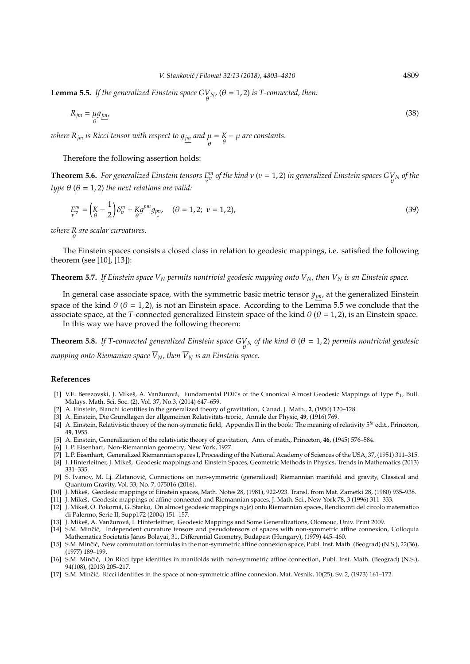**Lemma 5.5.** *If the generalized Einstein space*  $G_{\theta}^{V}$ *N, (* $\theta$  *= 1, 2) is T-connected, then:* 

$$
R_{jm} = \mu g_{jm} \tag{38}
$$

*where R<sub>jm</sub> is Ricci tensor with respect to*  $g_{\underline{jm}}$  *and μ<br>θ*  $= K - \mu$  are constants.

#### Therefore the following assertion holds:

**Theorem 5.6.** *For generalized Einstein tensors E* ν  $v^m_{\rm v}$  *of the kind v* (v = 1, 2) *in generalized Einstein spaces*  $G_{\rm \theta}^{V}$  *of the type*  $\theta$  ( $\theta$  = 1, 2) *the next relations are valid:* 

$$
E_v^m = \left(\frac{K}{\theta} - \frac{1}{2}\right)\delta_v^m + \frac{K}{\theta}g_{\text{p}v}^m, \quad (\theta = 1, 2; \ \nu = 1, 2),\tag{39}
$$

*where R* θ *are scalar curvatures.*

The Einstein spaces consists a closed class in relation to geodesic mappings, i.e. satisfied the following theorem (see [10], [13]):

# **Theorem 5.7.** If Einstein space  $V_N$  permits nontrivial geodesic mapping onto  $\overline{V}_N$ *, then*  $\overline{V}_N$  is an Einstein space.

In general case associate space, with the symmetric basic metric tensor  $g_{jm}$ , at the generalized Einstein space of the kind  $\theta$  ( $\theta$  = 1, 2), is not an Einstein space. According to the Lemma 5.5 we conclude that the associate space, at the *T*-connected generalized Einstein space of the kind  $\theta$  ( $\theta$  = 1, 2), is an Einstein space. In this way we have proved the following theorem:

**Theorem 5.8.** If T-connected generalized Einstein space  $G_{\theta}^{V}$  of the kind  $\theta$  ( $\theta$  = 1,2) permits nontrivial geodesic

*mapping onto Riemanian space*  $\overline{V}_N$ *, then*  $\overline{V}_N$  *is an Einstein space.* 

#### **References**

- [1] V.E. Berezovski, J. Mikeš, A. Vanžurová, Fundamental PDE's of the Canonical Almost Geodesic Mappings of Type  $\tilde{\pi}_1$ , Bull. Malays. Math. Sci. Soc. (2), Vol. 37, No.3, (2014) 647–659.
- [2] A. Einstein, Bianchi identities in the generalized theory of gravitation, Canad. J. Math., **2**, (1950) 120–128.
- [3] A. Einstein, Die Grundlagen der allgemeinen Relativitäts-teorie, Annale der Physic, 49, (1916) 769.
- [4] A. Einstein, Relativistic theory of the non-symmetic field, Appendix II in the book: The meaning of relativity 5*th* edit., Princeton, **49**, 1955.
- [5] A. Einstein, Generalization of the relativistic theory of gravitation, Ann. of math., Princeton, **46**, (1945) 576–584.
- [6] L.P. Eisenhart, Non-Riemannian geometry, New York, 1927.
- [7] L.P. Eisenhart, Generalized Riemannian spaces I, Proceeding of the National Academy of Sciences of the USA, 37, (1951) 311–315.
- [8] I. Hinterleitner, J. Mikeš, Geodesic mappings and Einstein Spaces, Geometric Methods in Physics, Trends in Mathematics (2013) 331–335.
- [9] S. Ivanov, M. Lj. Zlatanovic, Connections on non-symmetric (generalized) Riemannian manifold and gravity, Classical and ´ Quantum Gravity, Vol. 33, No. 7, 075016 (2016).
- [10] J. Mikeš, Geodesic mappings of Einstein spaces, Math. Notes 28, (1981), 922-923. Transl. from Mat. Zametki 28, (1980) 935-938.
- [11] J. Mikeš, Geodesic mappings of affine-connected and Riemannian spaces, J. Math. Sci., New York 78, 3 (1996) 311-333.
- [12] J. Mikeš, O. Pokorná, G. Starko, On almost geodesic mappings π<sub>2</sub>(*e*) onto Riemannian spaces, Rendiconti del circolo matematico di Palermo, Serie II, Suppl.72 (2004) 151–157.
- [13] J. Mikeš, A. Vanžurová, I. Hinterleitner, Geodesic Mappings and Some Generalizations, Olomouc, Univ. Print 2009.
- [14] S.M. Minčić, Independent curvature tensors and pseudotensors of spaces with non-symmetric affine connexion, Colloquia Mathematica Societatis János Bolayai, 31, Differential Geometry, Budapest (Hungary), (1979) 445-460.
- [15] S.M. Minčić, New commutation formulas in the non-symmetric affine connexion space, Publ. Inst. Math. (Beograd) (N.S.), 22(36), (1977) 189–199.
- [16] S.M. Minčić, On Ricci type identities in manifolds with non-symmetric affine connection, Publ. Inst. Math. (Beograd) (N.S.), 94(108), (2013) 205–217.
- [17] S.M. Minčić, Ricci identities in the space of non-symmetric affine connexion, Mat. Vesnik, 10(25), Sv. 2, (1973) 161–172.